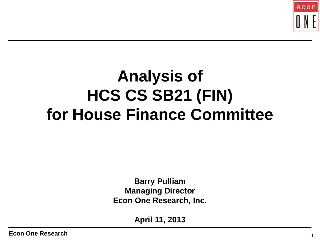

## **Analysis of HCS CS SB21 (FIN) for House Finance Committee**

**Barry Pulliam Managing Director Econ One Research, Inc.**

**April 11, 2013**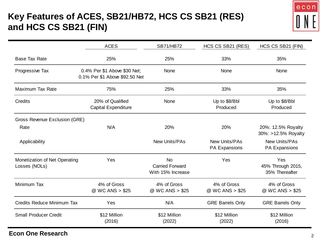### **Key Features of ACES, SB21/HB72, HCS CS SB21 (RES) and HCS CS SB21 (FIN)**



|                                                | <b>ACES</b>                                                    | <b>SB71/HB72</b>                                         | HCS CS SB21 (RES)              | HCS CS SB21 (FIN)                          |
|------------------------------------------------|----------------------------------------------------------------|----------------------------------------------------------|--------------------------------|--------------------------------------------|
| <b>Base Tax Rate</b>                           | 25%                                                            | 25%                                                      | 33%                            | 35%                                        |
| Progressive Tax                                | 0.4% Per \$1 Above \$30 Net;<br>0.1% Per \$1 Above \$92.50 Net | None                                                     | None                           | None                                       |
| Maximum Tax Rate                               | 75%                                                            | 25%                                                      | 33%                            | 35%                                        |
| Credits                                        | 20% of Qualified<br><b>Capital Expenditure</b>                 | None                                                     | Up to \$8/Bbl<br>Produced      | Up to \$8/Bbl<br>Produced                  |
| Gross Revenue Exclusion (GRE)                  |                                                                |                                                          |                                |                                            |
| Rate                                           | N/A                                                            | 20%                                                      | 20%                            | 20%: 12.5% Royalty<br>30%: >12.5% Royalty  |
| Applicability                                  |                                                                | New Units/PAs                                            | New Units/PAs<br>PA Expansions | <b>New Units/PAs</b><br>PA Expansions      |
| Monetization of Net Operating<br>Losses (NOLs) | Yes                                                            | <b>No</b><br><b>Carried Forward</b><br>With 15% Increase | Yes                            | Yes<br>45% Through 2015,<br>35% Thereafter |
| Minimum Tax                                    | 4% of Gross<br>@ WC ANS > \$25                                 | 4% of Gross<br>@ WC ANS > \$25                           | 4% of Gross<br>@ WC ANS > \$25 | 4% of Gross<br>@ WC ANS > \$25             |
| <b>Credits Reduce Minimum Tax</b>              | Yes                                                            | N/A                                                      | <b>GRE Barrels Only</b>        | <b>GRE Barrels Only</b>                    |
| <b>Small Producer Credit</b>                   | \$12 Million<br>(2016)                                         | \$12 Million<br>(2022)                                   | \$12 Million<br>(2022)         | \$12 Million<br>(2016)                     |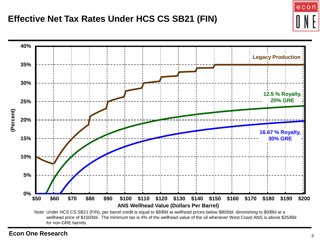#### **Effective Net Tax Rates Under HCS CS SB21 (FIN)**



**Econ One Research** <sup>3</sup>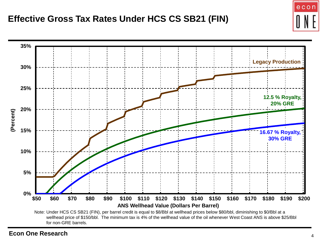

**Econ One Research** <sup>4</sup>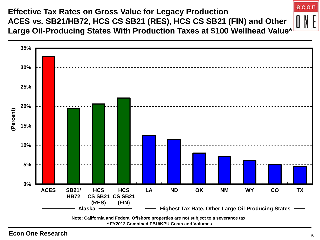**Effective Tax Rates on Gross Value for Legacy Production ACES vs. SB21/HB72, HCS CS SB21 (RES), HCS CS SB21 (FIN) and Other Large Oil-Producing States With Production Taxes at \$100 Wellhead Value\***



**Econ One Research** 5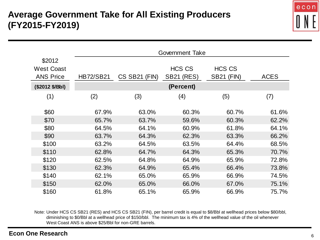

|                                                 |                  | Government Take |                                    |                                    |             |
|-------------------------------------------------|------------------|-----------------|------------------------------------|------------------------------------|-------------|
| \$2012<br><b>West Coast</b><br><b>ANS Price</b> | <b>HB72/SB21</b> | CS SB21 (FIN)   | <b>HCS CS</b><br><b>SB21 (RES)</b> | <b>HCS CS</b><br><b>SB21 (FIN)</b> | <b>ACES</b> |
| (\$2012 \$/Bbl)                                 |                  |                 | (Percent)                          |                                    |             |
| (1)                                             | (2)              | (3)             | (4)                                | (5)                                | (7)         |
| \$60                                            | 67.9%            | 63.0%           | 60.3%                              | 60.7%                              | 61.6%       |
| \$70                                            | 65.7%            | 63.7%           | 59.6%                              | 60.3%                              | 62.2%       |
| \$80                                            | 64.5%            | 64.1%           | 60.9%                              | 61.8%                              | 64.1%       |
| \$90                                            | 63.7%            | 64.3%           | 62.3%                              | 63.3%                              | 66.2%       |
| \$100                                           | 63.2%            | 64.5%           | 63.5%                              | 64.4%                              | 68.5%       |
| \$110                                           | 62.8%            | 64.7%           | 64.3%                              | 65.3%                              | 70.7%       |
| \$120                                           | 62.5%            | 64.8%           | 64.9%                              | 65.9%                              | 72.8%       |
| \$130                                           | 62.3%            | 64.9%           | 65.4%                              | 66.4%                              | 73.8%       |
| \$140                                           | 62.1%            | 65.0%           | 65.9%                              | 66.9%                              | 74.5%       |
| \$150                                           | 62.0%            | 65.0%           | 66.0%                              | 67.0%                              | 75.1%       |
| \$160                                           | 61.8%            | 65.1%           | 65.9%                              | 66.9%                              | 75.7%       |

Note: Under HCS CS SB21 (RES) and HCS CS SB21 (FIN), per barrel credit is equal to \$8/Bbl at wellhead prices below \$80/bbl, diminishing to \$0/Bbl at a wellhead price of \$150/bbl. The minimum tax is 4% of the wellhead value of the oil whenever West Coast ANS is above \$25/Bbl for non-GRE barrels.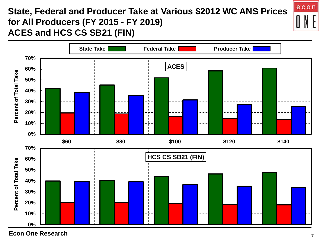### **State, Federal and Producer Take at Various \$2012 WC ANS Prices for All Producers (FY 2015 - FY 2019) ACES and HCS CS SB21 (FIN)**



**Econ One Research** <sup>7</sup>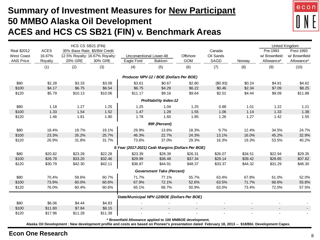#### **Summary of Investment Measures for New Participant 50 MMBO Alaska Oil Development ACES and HCS CS SB21 (FIN) v. Benchmark Areas**

|                    |         |         | HCS CS SB21 (FIN)              |                                                         |                                         |            |                          |                          |               | United Kingdom |
|--------------------|---------|---------|--------------------------------|---------------------------------------------------------|-----------------------------------------|------------|--------------------------|--------------------------|---------------|----------------|
| <b>Real \$2012</b> | ACES    |         | 35% Base Rate, \$5/Bbl Credit  |                                                         |                                         |            | Canada                   |                          | Pre-1993      | Post-1993      |
| <b>West Coast</b>  | 16.67%  |         | 12.5% Royalty: 16.67% Royalty: | Unconventional Lower-48                                 |                                         | Offshore   | Oil Sands                |                          | w/ Brownfield | w/ Brownfield  |
| <b>ANS Price</b>   | Royalty | 20% GRE | 30% GRE                        | Eagle Ford                                              | Bakken                                  | <b>GOM</b> | SAGD                     | Norway                   | Allowance*    | Allowance*     |
|                    | (1)     | (2)     | (3)                            | (4)                                                     | (5)                                     | (6)        | (7)                      | (8)                      | (9)           | (10)           |
|                    |         |         |                                |                                                         | Producer NPV-12 / BOE (Dollars Per BOE) |            |                          |                          |               |                |
| \$80               | \$2.28  | \$3.33  | \$3.08                         | \$3.61                                                  | \$0.67                                  | \$2.80     | (\$0.93)                 | \$0.24                   | \$4.81        | \$4.62         |
| \$100              | \$4.17  | \$6.75  | \$6.54                         | \$6.75                                                  | \$4.29                                  | \$6.22     | \$0.46                   | \$2.34                   | \$7.09        | \$8.25         |
| \$120              | \$5.79  | \$10.13 | \$10.06                        | \$11.17                                                 | \$9.16                                  | \$9.64     | \$2.01                   | \$4.44                   | \$9.09        | \$11.88        |
|                    |         |         |                                |                                                         |                                         |            |                          |                          |               |                |
|                    |         |         |                                |                                                         | <b>Profitability Index-12</b>           |            |                          |                          |               |                |
| \$80               | 1.18    | 1.27    | 1.25                           | 1.25                                                    | 1.04                                    | 1.25       | 0.88                     | 1.01                     | 1.22          | 1.21           |
| \$100              | 1.33    | 1.54    | 1.52                           | 1.47                                                    | 1.28                                    | 1.55       | 1.06                     | 1.14                     | 1.33          | 1.38           |
| \$120              | 1.46    | 1.81    | 1.80                           | 1.78                                                    | 1.60                                    | 1.85       | 1.26                     | 1.27                     | 1.42          | 1.55           |
|                    |         |         |                                |                                                         | <b>IRR</b> (Percent)                    |            |                          |                          |               |                |
| \$80               | 18.4%   | 19.7%   | 19.1%                          | 29.9%                                                   | 13.6%                                   | 18.3%      | 9.7%                     | 12.4%                    | 34.5%         | 24.7%          |
| \$100              | 23.3%   | 26.2%   | 25.7%                          | 46.3%                                                   | 22.7%                                   | 24.3%      | 13.1%                    | 16.0%                    | 45.2%         | 32.9%          |
| \$120              | 26.9%   | 31.8%   | 31.7%                          | 73.6%                                                   | 37.0%                                   | 29.3%      | 16.3%                    | 19.3%                    | 53.5%         | 40.2%          |
|                    |         |         |                                | 5-Year (2017-2021) Cash Margins (Dollars Per BOE)       |                                         |            |                          |                          |               |                |
| \$80               | \$20.82 | \$23.28 | \$22.28                        | \$23.39                                                 | \$28.39                                 | \$26.31    | \$26.07                  | \$34.51                  | \$22.94       | \$29.35        |
| \$100              | \$26.78 | \$33.20 | \$32.46                        | \$29.99                                                 | \$36.48                                 | \$37.34    | \$29.14                  | \$39.42                  | \$28.85       | \$37.82        |
| \$120              | \$30.79 | \$42.30 | \$42.11                        | \$36.87                                                 | \$44.91                                 | \$48.37    | \$33.37                  | \$44.32                  | \$31.29       | \$46.30        |
|                    |         |         |                                |                                                         | <b>Government Take (Percent)</b>        |            |                          |                          |               |                |
| \$80               | 70.4%   | 59.6%   | 60.7%                          | 71.7%                                                   | 77.1%                                   | 55.7%      | 63.4%                    | 67.8%                    | 61.0%         | 52.0%          |
| \$100              | 73.9%   | 60.0%   | 60.6%                          | 67.9%                                                   | 72.1%                                   | 52.6%      | 63.5%                    | 71.7%                    | 68.6%         | 55.8%          |
| \$120              | 76.0%   | 60.4%   | 60.6%                          | 65.1%                                                   | 68.7%                                   | 50.9%      | 63.0%                    | 73.4%                    | 72.0%         | 57.5%          |
|                    |         |         |                                |                                                         |                                         |            |                          |                          |               |                |
|                    |         |         |                                | State/Municipal NPV-12/BOE (Dollars Per BOE)            |                                         |            |                          |                          |               |                |
| \$80               | \$6.06  | \$4.44  | \$4.83                         |                                                         |                                         |            |                          |                          |               |                |
| \$100              | \$11.80 | \$7.84  | \$8.15                         |                                                         |                                         |            | $\overline{\phantom{a}}$ | $\overline{\phantom{a}}$ | $\sim$        |                |
| \$120              | \$17.96 | \$11.28 | \$11.39                        |                                                         |                                         |            |                          |                          |               |                |
|                    |         |         |                                | * Brownfield Allowance applied to 100 MMBOE development |                                         |            |                          |                          |               |                |

**\* Brownfield Allowance applied to 100 MMBOE development.**

**Alaska Oil Development : New development profile and costs are based on Pioneer's presentation dated February 18, 2013 -- \$18/Bbl. Development Capex.**

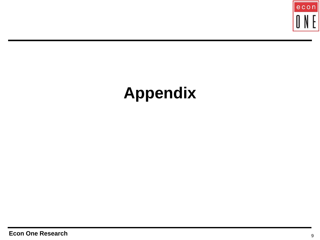

# **Appendix**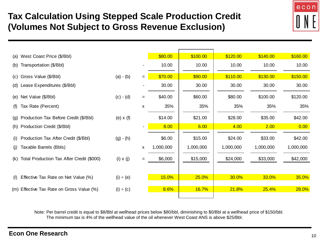### **Tax Calculation Using Stepped Scale Production Credit (Volumes Not Subject to Gross Revenue Exclusion)**



|     | (a) West Coast Price (\$/Bbl)             |                  |     | \$80.00   | \$100.00  | \$120.00  | \$140.00  | \$160.00  |
|-----|-------------------------------------------|------------------|-----|-----------|-----------|-----------|-----------|-----------|
|     | (b) Transportation (\$/Bbl)               |                  |     | 10.00     | 10.00     | 10.00     | 10.00     | 10.00     |
| (C) | Gross Value (\$/Bbl)                      | $(a) - (b)$      | $=$ | \$70.00   | \$90.00   | \$110.00  | \$130.00  | \$150.00  |
|     | (d) Lease Expenditures (\$/Bbl)           |                  |     | 30.00     | 30.00     | 30.00     | 30.00     | 30.00     |
|     | (e) Net Value (\$/Bbl)                    | $(c) - (d)$      | $=$ | \$40.00   | \$60.00   | \$80.00   | \$100.00  | \$120.00  |
| (f) | Tax Rate (Percent)                        |                  | X   | 35%       | 35%       | 35%       | 35%       | 35%       |
|     | (g) Production Tax Before Credit (\$/Bbl) | (e) $x(f)$       |     | \$14.00   | \$21.00   | \$28.00   | \$35.00   | \$42.00   |
|     | (h) Production Credit (\$/Bbl)            |                  |     | 8.00      | 6.00      | 4.00      | 2.00      | 0.00      |
| (i) | Production Tax After Credit (\$/Bbl)      | $(g) - (h)$      |     | \$6.00    | \$15.00   | \$24.00   | \$33.00   | \$42.00   |
| (i) | Taxable Barrels (Bbls)                    |                  | X   | 1,000,000 | 1,000,000 | 1,000,000 | 1,000,000 | 1,000,000 |
| (k) | Total Production Tax After Credit (\$000) | $(i) \times (j)$ | $=$ | \$6,000   | \$15,000  | \$24,000  | \$33,000  | \$42,000  |
|     |                                           |                  |     |           |           |           |           |           |
| (1) | Effective Tax Rate on Net Value (%)       | $(i) \div (e)$   |     | 15.0%     | 25.0%     | 30.0%     | 33.0%     | 35.0%     |
|     | (m) Effective Tax Rate on Gross Value (%) | $(i) \div (c)$   |     | 8.6%      | 16.7%     | 21.8%     | 25.4%     | 28.0%     |
|     |                                           |                  |     |           |           |           |           |           |

Note: Per barrel credit is equal to \$8/Bbl at wellhead prices below \$80/bbl, diminishing to \$0/Bbl at a wellhead price of \$150/bbl. The minimum tax is 4% of the wellhead value of the oil whenever West Coast ANS is above \$25/Bbl.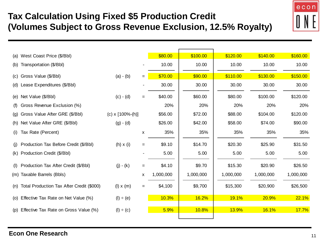## **Tax Calculation Using Fixed \$5 Production Credit (Volumes Subject to Gross Revenue Exclusion, 12.5% Royalty)**



|     | (a) West Coast Price (\$/Bbl)             |                          |     | \$80.00   | \$100.00  | \$120.00  | \$140.00  | \$160.00  |
|-----|-------------------------------------------|--------------------------|-----|-----------|-----------|-----------|-----------|-----------|
| (b) | Transportation (\$/Bbl)                   |                          |     | 10.00     | 10.00     | 10.00     | 10.00     | 10.00     |
| (C) | Gross Value (\$/Bbl)                      | $(a) - (b)$              | $=$ | \$70.00   | \$90.00   | \$110.00  | \$130.00  | \$150.00  |
|     | (d) Lease Expenditures (\$/Bbl)           |                          |     | 30.00     | 30.00     | 30.00     | 30.00     | 30.00     |
|     | (e) Net Value (\$/Bbl)                    | $(c) - (d)$              | $=$ | \$40.00   | \$60.00   | \$80.00   | \$100.00  | \$120.00  |
| (f) | Gross Revenue Exclusion (%)               |                          |     | 20%       | 20%       | 20%       | 20%       | 20%       |
| (g) | Gross Value After GRE (\$/Bbl)            | $(c) \times [100\%-(h)]$ |     | \$56.00   | \$72.00   | \$88.00   | \$104.00  | \$120.00  |
| (h) | Net Value After GRE (\$/Bbl)              | $(g) - (d)$              |     | \$26.00   | \$42.00   | \$58.00   | \$74.00   | \$90.00   |
| (i) | Tax Rate (Percent)                        |                          | x   | 35%       | 35%       | 35%       | 35%       | 35%       |
| (i) | Production Tax Before Credit (\$/Bbl)     | $(h) \times (i)$         | $=$ | \$9.10    | \$14.70   | \$20.30   | \$25.90   | \$31.50   |
| (k) | Production Credit (\$/Bbl)                |                          |     | 5.00      | 5.00      | 5.00      | 5.00      | 5.00      |
| (1) | Production Tax After Credit (\$/Bbl)      | $(j) - (k)$              | $=$ | \$4.10    | \$9.70    | \$15.30   | \$20.90   | \$26.50   |
|     | (m) Taxable Barrels (Bbls)                |                          | X   | 1,000,000 | 1,000,000 | 1,000,000 | 1,000,000 | 1,000,000 |
| (n) | Total Production Tax After Credit (\$000) | $(l) \times (m)$         | $=$ | \$4,100   | \$9,700   | \$15,300  | \$20,900  | \$26,500  |
|     | (o) Effective Tax Rate on Net Value (%)   | (I) ÷ (e)                |     | 10.3%     | 16.2%     | 19.1%     | 20.9%     | 22.1%     |
| (p) | Effective Tax Rate on Gross Value (%)     | $(l) \div (c)$           |     | 5.9%      | 10.8%     | 13.9%     | 16.1%     | 17.7%     |
|     |                                           |                          |     |           |           |           |           |           |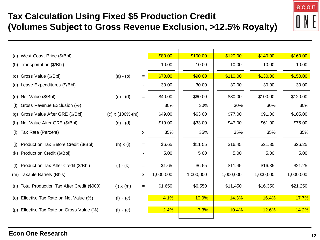## **Tax Calculation Using Fixed \$5 Production Credit (Volumes Subject to Gross Revenue Exclusion, >12.5% Royalty)**



| (a) | West Coast Price (\$/Bbl)                 |                    |     | \$80.00   | \$100.00  | \$120.00  | \$140.00  | \$160.00  |
|-----|-------------------------------------------|--------------------|-----|-----------|-----------|-----------|-----------|-----------|
| (b) | Transportation (\$/Bbl)                   |                    |     | 10.00     | 10.00     | 10.00     | 10.00     | 10.00     |
| (C) | Gross Value (\$/Bbl)                      | $(a) - (b)$        | $=$ | \$70.00   | \$90.00   | \$110.00  | \$130.00  | \$150.00  |
| (d) | Lease Expenditures (\$/Bbl)               |                    |     | 30.00     | 30.00     | 30.00     | 30.00     | 30.00     |
| (e) | Net Value (\$/Bbl)                        | $(c) - (d)$        | $=$ | \$40.00   | \$60.00   | \$80.00   | \$100.00  | \$120.00  |
| (f) | Gross Revenue Exclusion (%)               |                    |     | 30%       | 30%       | 30%       | 30%       | 30%       |
| (g) | Gross Value After GRE (\$/Bbl)            | (c) $x$ [100%-(h)] |     | \$49.00   | \$63.00   | \$77.00   | \$91.00   | \$105.00  |
| (h) | Net Value After GRE (\$/Bbl)              | $(g) - (d)$        |     | \$19.00   | \$33.00   | \$47.00   | \$61.00   | \$75.00   |
| (i) | Tax Rate (Percent)                        |                    | X   | 35%       | 35%       | 35%       | 35%       | 35%       |
| (i) | Production Tax Before Credit (\$/Bbl)     | $(h) \times (i)$   | $=$ | \$6.65    | \$11.55   | \$16.45   | \$21.35   | \$26.25   |
| (k) | Production Credit (\$/Bbl)                |                    |     | 5.00      | 5.00      | 5.00      | 5.00      | 5.00      |
| (1) | Production Tax After Credit (\$/Bbl)      | $(j) - (k)$        | $=$ | \$1.65    | \$6.55    | \$11.45   | \$16.35   | \$21.25   |
|     | (m) Taxable Barrels (Bbls)                |                    | X   | 1,000,000 | 1,000,000 | 1,000,000 | 1,000,000 | 1,000,000 |
| (n) | Total Production Tax After Credit (\$000) | $(l) \times (m)$   | $=$ | \$1,650   | \$6,550   | \$11,450  | \$16,350  | \$21,250  |
| (O) | Effective Tax Rate on Net Value (%)       | (I) ÷ (e)          |     | 4.1%      | 10.9%     | 14.3%     | 16.4%     | 17.7%     |
| (p) | Effective Tax Rate on Gross Value (%)     | (I) ÷ (c)          |     | 2.4%      | 7.3%      | 10.4%     | 12.6%     | 14.2%     |
|     |                                           |                    |     |           |           |           |           |           |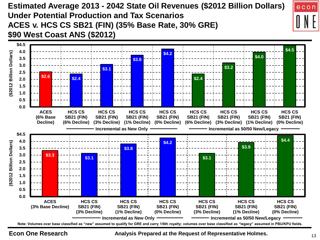**Estimated Average 2013 - 2042 State Oil Revenues (\$2012 Billion Dollars) Under Potential Production and Tax Scenarios ACES v. HCS CS SB21 (FIN) (35% Base Rate, 30% GRE) \$90 West Coast ANS (\$2012)**



**Econ One Research** <sup>13</sup> **Analysis Prepared at the Request of Representative Holmes.**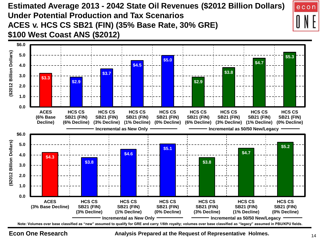**Estimated Average 2013 - 2042 State Oil Revenues (\$2012 Billion Dollars) Under Potential Production and Tax Scenarios ACES v. HCS CS SB21 (FIN) (35% Base Rate, 30% GRE) \$100 West Coast ANS (\$2012)**



**Econ One Research** <sup>14</sup> **Analysis Prepared at the Request of Representative Holmes.**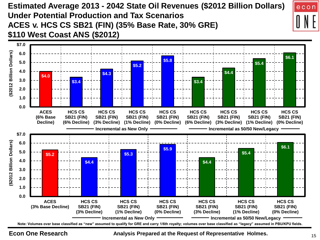**Estimated Average 2013 - 2042 State Oil Revenues (\$2012 Billion Dollars) Under Potential Production and Tax Scenarios ACES v. HCS CS SB21 (FIN) (35% Base Rate, 30% GRE) \$110 West Coast ANS (\$2012)**



**Econ One Research** <sup>15</sup> **Analysis Prepared at the Request of Representative Holmes.**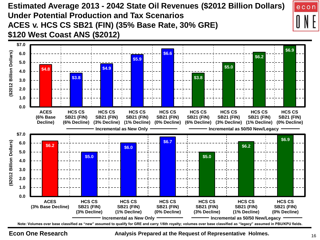**Estimated Average 2013 - 2042 State Oil Revenues (\$2012 Billion Dollars) Under Potential Production and Tax Scenarios ACES v. HCS CS SB21 (FIN) (35% Base Rate, 30% GRE) \$120 West Coast ANS (\$2012)**



**Econ One Research** <sup>16</sup> **Analysis Prepared at the Request of Representative Holmes.**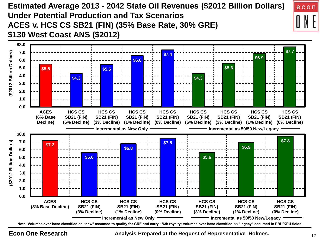**Estimated Average 2013 - 2042 State Oil Revenues (\$2012 Billion Dollars) Under Potential Production and Tax Scenarios ACES v. HCS CS SB21 (FIN) (35% Base Rate, 30% GRE) \$130 West Coast ANS (\$2012)**



**Econ One Research** <sup>17</sup> **Analysis Prepared at the Request of Representative Holmes.**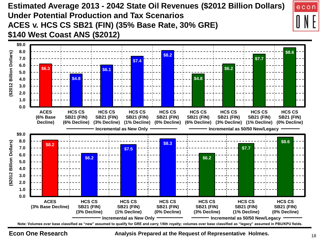**Estimated Average 2013 - 2042 State Oil Revenues (\$2012 Billion Dollars) Under Potential Production and Tax Scenarios ACES v. HCS CS SB21 (FIN) (35% Base Rate, 30% GRE) \$140 West Coast ANS (\$2012)**



**Econ One Research** <sup>18</sup> **Analysis Prepared at the Request of Representative Holmes.**